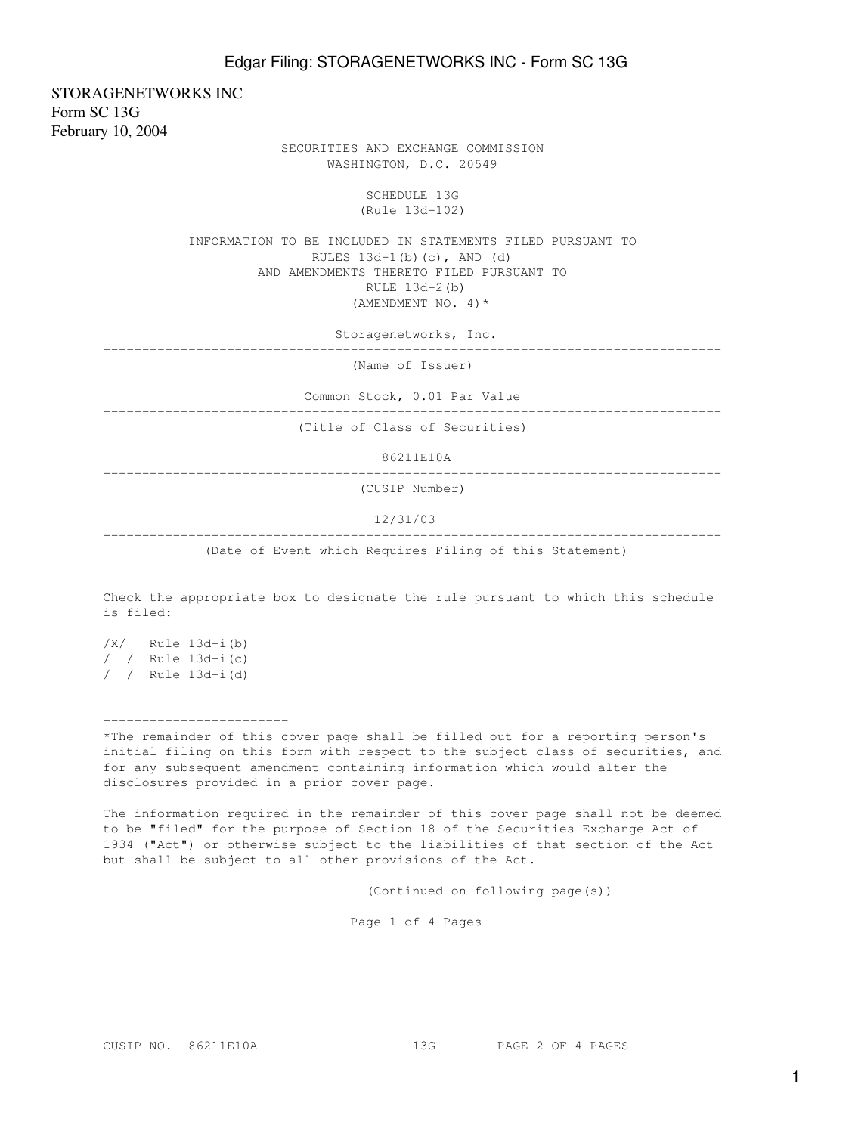STORAGENETWORKS INC Form SC 13G February 10, 2004

 SECURITIES AND EXCHANGE COMMISSION WASHINGTON, D.C. 20549

> SCHEDULE 13G (Rule 13d-102)

 INFORMATION TO BE INCLUDED IN STATEMENTS FILED PURSUANT TO RULES  $13d-1(b)(c)$ , AND  $(d)$  AND AMENDMENTS THERETO FILED PURSUANT TO RULE 13d-2(b) (AMENDMENT NO. 4)\*

Storagenetworks, Inc.

--------------------------------------------------------------------------------

(Name of Issuer)

Common Stock, 0.01 Par Value

--------------------------------------------------------------------------------

(Title of Class of Securities)

86211E10A

--------------------------------------------------------------------------------

(CUSIP Number)

12/31/03

--------------------------------------------------------------------------------

(Date of Event which Requires Filing of this Statement)

Check the appropriate box to designate the rule pursuant to which this schedule is filed:

/X/ Rule 13d-i(b) / / Rule 13d-i(c) / / Rule 13d-i(d)

------------------------

\*The remainder of this cover page shall be filled out for a reporting person's initial filing on this form with respect to the subject class of securities, and for any subsequent amendment containing information which would alter the disclosures provided in a prior cover page.

The information required in the remainder of this cover page shall not be deemed to be "filed" for the purpose of Section 18 of the Securities Exchange Act of 1934 ("Act") or otherwise subject to the liabilities of that section of the Act but shall be subject to all other provisions of the Act.

(Continued on following page(s))

Page 1 of 4 Pages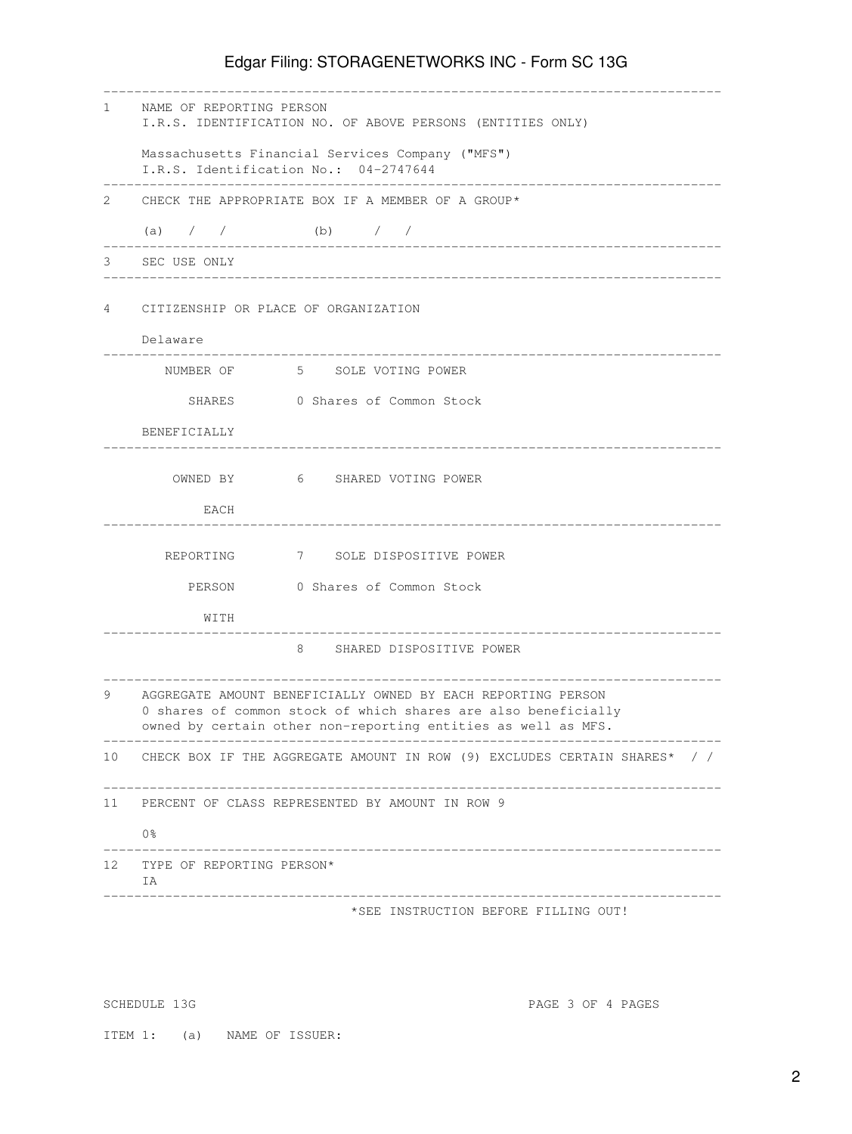## Edgar Filing: STORAGENETWORKS INC - Form SC 13G

| $1 \quad$ | NAME OF REPORTING PERSON<br>I.R.S. IDENTIFICATION NO. OF ABOVE PERSONS (ENTITIES ONLY)                                                                                                          |  |  |  |  |  |
|-----------|-------------------------------------------------------------------------------------------------------------------------------------------------------------------------------------------------|--|--|--|--|--|
|           | Massachusetts Financial Services Company ("MFS")<br>I.R.S. Identification No.: 04-2747644                                                                                                       |  |  |  |  |  |
| 2.        | CHECK THE APPROPRIATE BOX IF A MEMBER OF A GROUP*                                                                                                                                               |  |  |  |  |  |
|           | (b) $/$ /<br>(a) $/ /$                                                                                                                                                                          |  |  |  |  |  |
| 3         | SEC USE ONLY                                                                                                                                                                                    |  |  |  |  |  |
|           |                                                                                                                                                                                                 |  |  |  |  |  |
| 4         | CITIZENSHIP OR PLACE OF ORGANIZATION                                                                                                                                                            |  |  |  |  |  |
|           | Delaware                                                                                                                                                                                        |  |  |  |  |  |
|           | NUMBER OF 5 SOLE VOTING POWER                                                                                                                                                                   |  |  |  |  |  |
|           | SHARES 0 Shares of Common Stock                                                                                                                                                                 |  |  |  |  |  |
|           | BENEFICIALLY                                                                                                                                                                                    |  |  |  |  |  |
|           | OWNED BY 6 SHARED VOTING POWER                                                                                                                                                                  |  |  |  |  |  |
|           | EACH                                                                                                                                                                                            |  |  |  |  |  |
|           | REPORTING 7 SOLE DISPOSITIVE POWER                                                                                                                                                              |  |  |  |  |  |
|           | PERSON 0 Shares of Common Stock                                                                                                                                                                 |  |  |  |  |  |
|           | WITH                                                                                                                                                                                            |  |  |  |  |  |
|           | 8 SHARED DISPOSITIVE POWER                                                                                                                                                                      |  |  |  |  |  |
| 9         | AGGREGATE AMOUNT BENEFICIALLY OWNED BY EACH REPORTING PERSON<br>0 shares of common stock of which shares are also beneficially<br>owned by certain other non-reporting entities as well as MFS. |  |  |  |  |  |
|           | 10 CHECK BOX IF THE AGGREGATE AMOUNT IN ROW (9) EXCLUDES CERTAIN SHARES* / /                                                                                                                    |  |  |  |  |  |
| 11        | PERCENT OF CLASS REPRESENTED BY AMOUNT IN ROW 9                                                                                                                                                 |  |  |  |  |  |
|           | 0%                                                                                                                                                                                              |  |  |  |  |  |
| 12        | TYPE OF REPORTING PERSON*<br>ΙA.<br>________________________<br>____________________________                                                                                                    |  |  |  |  |  |
|           | *SEE INSTRUCTION BEFORE FILLING OUT!                                                                                                                                                            |  |  |  |  |  |

SCHEDULE 13G PAGE 3 OF 4 PAGES

ITEM 1: (a) NAME OF ISSUER: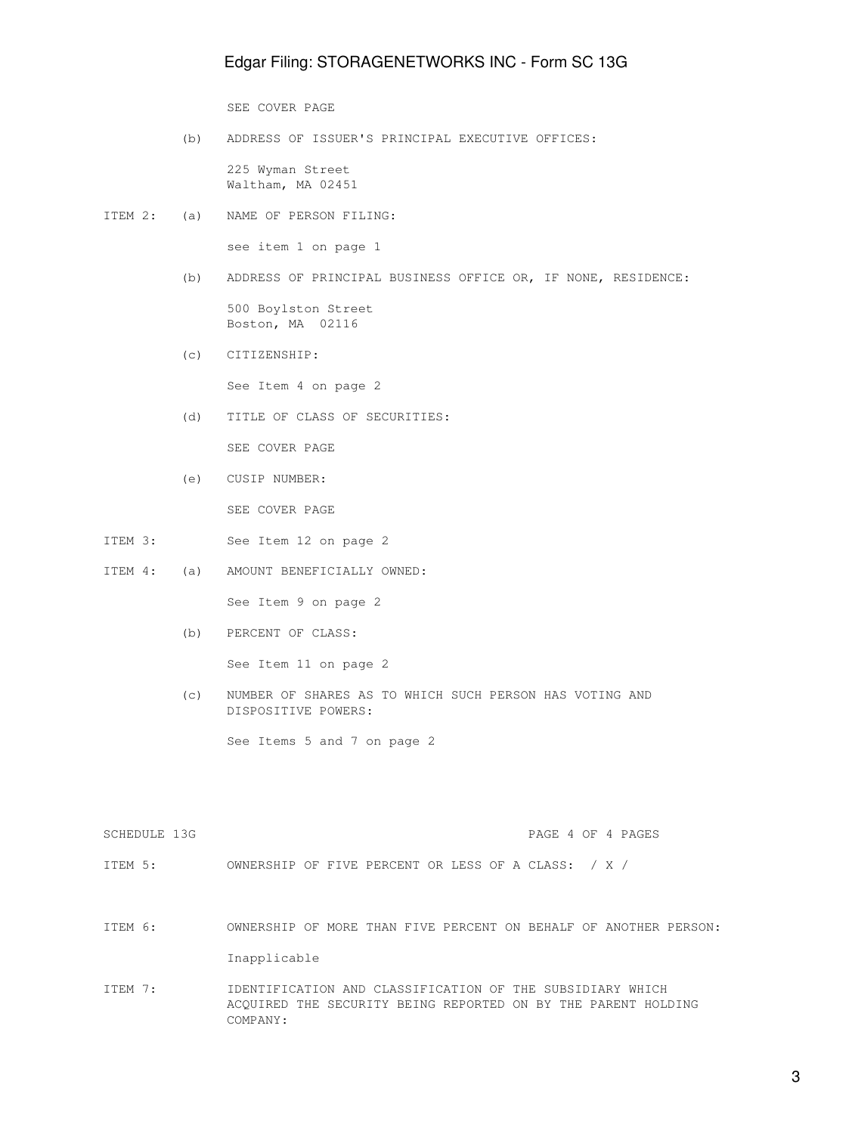## Edgar Filing: STORAGENETWORKS INC - Form SC 13G

SEE COVER PAGE

(b) ADDRESS OF ISSUER'S PRINCIPAL EXECUTIVE OFFICES:

 225 Wyman Street Waltham, MA 02451

ITEM 2: (a) NAME OF PERSON FILING:

see item 1 on page 1

(b) ADDRESS OF PRINCIPAL BUSINESS OFFICE OR, IF NONE, RESIDENCE:

 500 Boylston Street Boston, MA 02116

(c) CITIZENSHIP:

See Item 4 on page 2

(d) TITLE OF CLASS OF SECURITIES:

SEE COVER PAGE

- (e) CUSIP NUMBER: SEE COVER PAGE
- ITEM 3: See Item 12 on page 2
- ITEM 4: (a) AMOUNT BENEFICIALLY OWNED:

See Item 9 on page 2

(b) PERCENT OF CLASS:

See Item 11 on page 2

 (c) NUMBER OF SHARES AS TO WHICH SUCH PERSON HAS VOTING AND DISPOSITIVE POWERS:

See Items 5 and 7 on page 2

| SCHEDULE 13G |  |  | PAGE 4 OF 4 PAGES |
|--------------|--|--|-------------------|
|              |  |  |                   |

ITEM 5: OWNERSHIP OF FIVE PERCENT OR LESS OF A CLASS: / X /

- ITEM 6: OWNERSHIP OF MORE THAN FIVE PERCENT ON BEHALF OF ANOTHER PERSON: Inapplicable
- ITEM 7: IDENTIFICATION AND CLASSIFICATION OF THE SUBSIDIARY WHICH ACQUIRED THE SECURITY BEING REPORTED ON BY THE PARENT HOLDING COMPANY:

3